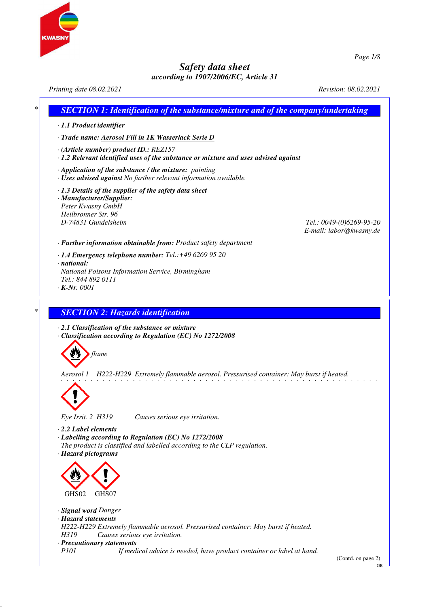



*Page 1/8*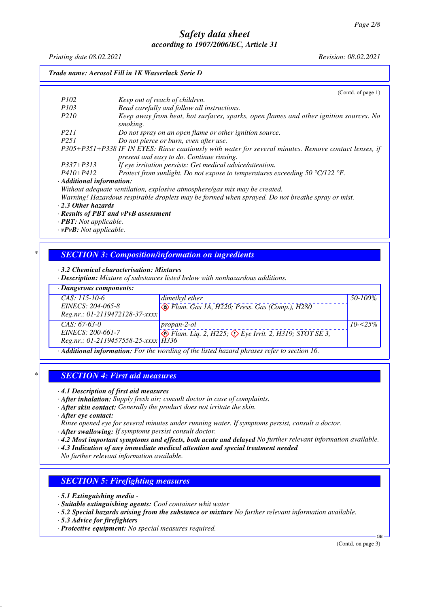*Printing date 08.02.2021 Revision: 08.02.2021*

| Trade name: Aerosol Fill in 1K Wasserlack Serie D                                         |                                                                                                                                                    |  |
|-------------------------------------------------------------------------------------------|----------------------------------------------------------------------------------------------------------------------------------------------------|--|
|                                                                                           | (Cond. of page 1)                                                                                                                                  |  |
| <i>P102</i>                                                                               | Keep out of reach of children.                                                                                                                     |  |
| <i>P103</i>                                                                               | Read carefully and follow all instructions.                                                                                                        |  |
| P <sub>210</sub>                                                                          | Keep away from heat, hot surfaces, sparks, open flames and other ignition sources. No<br>smoking.                                                  |  |
| P211                                                                                      | Do not spray on an open flame or other ignition source.                                                                                            |  |
| P <sub>251</sub>                                                                          | Do not pierce or burn, even after use.                                                                                                             |  |
|                                                                                           | P305+P351+P338 IF IN EYES: Rinse cautiously with water for several minutes. Remove contact lenses, if<br>present and easy to do. Continue rinsing. |  |
| P337+P313                                                                                 | If eye irritation persists: Get medical advice/attention.                                                                                          |  |
| $P410 + P412$                                                                             | Protect from sunlight. Do not expose to temperatures exceeding 50 $^{\circ}$ C/122 $^{\circ}$ F.                                                   |  |
| · Additional information:                                                                 |                                                                                                                                                    |  |
|                                                                                           | Without adequate ventilation, explosive atmosphere/gas mix may be created.                                                                         |  |
|                                                                                           | Warning! Hazardous respirable droplets may be formed when sprayed. Do not breathe spray or mist.                                                   |  |
| $\cdot$ 2.3 Other hazards                                                                 |                                                                                                                                                    |  |
|                                                                                           | · Results of PBT and vPvB assessment                                                                                                               |  |
| $\cdot$ <b>PBT</b> : Not applicable.                                                      |                                                                                                                                                    |  |
| $\mathbf{D} \cdot \mathbf{D}$ $M_{\text{rel}}$ $\ldots$ $l_{\text{rel}}$ $l_{\text{rel}}$ |                                                                                                                                                    |  |

*· vPvB: Not applicable.*

## *\* SECTION 3: Composition/information on ingredients*

*· 3.2 Chemical characterisation: Mixtures*

*· Description: Mixture of substances listed below with nonhazardous additions.*

| $\cdot$ Dangerous components:         |                                                                                          |              |
|---------------------------------------|------------------------------------------------------------------------------------------|--------------|
| $CAS: 115-10-6$                       | dimethyl ether                                                                           | 50-100%      |
| EINECS: 204-065-8                     | $\bigotimes$ Flam. Gas 1A, H220; Press. Gas (Comp.), H280                                |              |
| $Reg.nr.: 01-2119472128-37-xxxx$      |                                                                                          |              |
| $CAS: 67-63-0$                        | $propan-2-ol$                                                                            | $10 - 525\%$ |
| EINECS: 200-661-7                     | $\Diamond$ Flam. Liq. 2, H225; $\Diamond$ Eye Irrit. 2, H319; STOT SE 3,                 |              |
| $Reg.nr.: 01-2119457558-25-xxxx$ H336 |                                                                                          |              |
|                                       | Additional information: For the wording of the listed hazard phrases refer to section 16 |              |

*· Additional information: For the wording of the listed hazard phrases refer to section 16.*

### *\* SECTION 4: First aid measures*

*· 4.1 Description of first aid measures*

*· After inhalation: Supply fresh air; consult doctor in case of complaints.*

*· After skin contact: Generally the product does not irritate the skin.*

*· After eye contact:*

- *Rinse opened eye for several minutes under running water. If symptoms persist, consult a doctor.*
- *· After swallowing: If symptoms persist consult doctor.*
- *· 4.2 Most important symptoms and effects, both acute and delayed No further relevant information available.*
- *· 4.3 Indication of any immediate medical attention and special treatment needed*

*No further relevant information available.*

# *SECTION 5: Firefighting measures*

- *· 5.1 Extinguishing media*
- *· Suitable extinguishing agents: Cool container whit water*
- *· 5.2 Special hazards arising from the substance or mixture No further relevant information available.*
- *· 5.3 Advice for firefighters*
- *· Protective equipment: No special measures required.*

(Contd. on page 3)

GB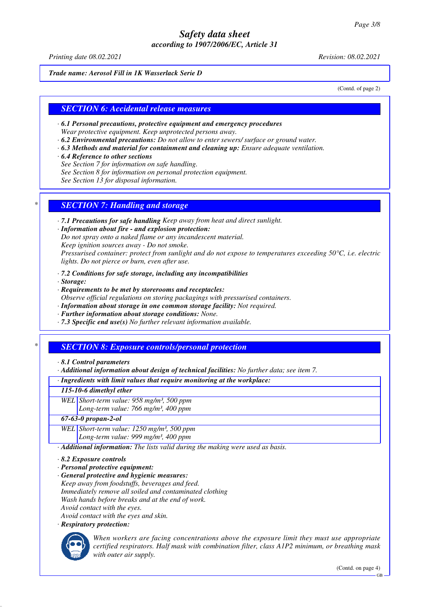*Printing date 08.02.2021 Revision: 08.02.2021*

#### *Trade name: Aerosol Fill in 1K Wasserlack Serie D*

(Contd. of page 2)

## *SECTION 6: Accidental release measures*

- *· 6.1 Personal precautions, protective equipment and emergency procedures Wear protective equipment. Keep unprotected persons away.*
- *· 6.2 Environmental precautions: Do not allow to enter sewers/ surface or ground water.*
- *· 6.3 Methods and material for containment and cleaning up: Ensure adequate ventilation.*

#### *· 6.4 Reference to other sections*

- *See Section 7 for information on safe handling.*
- *See Section 8 for information on personal protection equipment.*
- *See Section 13 for disposal information.*

## *\* SECTION 7: Handling and storage*

- *· 7.1 Precautions for safe handling Keep away from heat and direct sunlight.*
- *· Information about fire and explosion protection: Do not spray onto a naked flame or any incandescent material. Keep ignition sources away - Do not smoke. Pressurised container: protect from sunlight and do not expose to temperatures exceeding 50°C, i.e. electric lights. Do not pierce or burn, even after use.*
- *· 7.2 Conditions for safe storage, including any incompatibilities*
- *· Storage:*
- *· Requirements to be met by storerooms and receptacles:*
- *Observe official regulations on storing packagings with pressurised containers.*
- *· Information about storage in one common storage facility: Not required.*
- *· Further information about storage conditions: None.*
- *· 7.3 Specific end use(s) No further relevant information available.*

### *\* SECTION 8: Exposure controls/personal protection*

- *· 8.1 Control parameters*
- *· Additional information about design of technical facilities: No further data; see item 7.*

#### *· Ingredients with limit values that require monitoring at the workplace:*

#### *115-10-6 dimethyl ether*

- *WEL Short-term value: 958 mg/m³, 500 ppm*
	- *Long-term value: 766 mg/m³, 400 ppm*

#### *67-63-0 propan-2-ol*

*WEL Short-term value: 1250 mg/m³, 500 ppm Long-term value: 999 mg/m³, 400 ppm*

*· Additional information: The lists valid during the making were used as basis.*

- *· 8.2 Exposure controls*
- *· Personal protective equipment:*
- *· General protective and hygienic measures:*
- *Keep away from foodstuffs, beverages and feed. Immediately remove all soiled and contaminated clothing Wash hands before breaks and at the end of work. Avoid contact with the eyes.*
- *Avoid contact with the eyes and skin.*
- *· Respiratory protection:*



*When workers are facing concentrations above the exposure limit they must use appropriate certified respirators. Half mask with combination filter, class A1P2 minimum, or breathing mask with outer air supply.*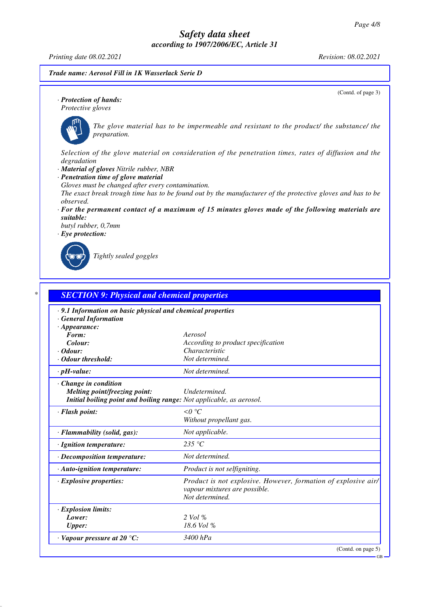*Printing date 08.02.2021 Revision: 08.02.2021*

*Trade name: Aerosol Fill in 1K Wasserlack Serie D*

(Contd. of page 3)

GB

*· Protection of hands: Protective gloves*



*The glove material has to be impermeable and resistant to the product/ the substance/ the preparation.*

*Selection of the glove material on consideration of the penetration times, rates of diffusion and the degradation*

- *· Material of gloves Nitrile rubber, NBR*
- *· Penetration time of glove material*

*Gloves must be changed after every contamination.*

*The exact break trough time has to be found out by the manufacturer of the protective gloves and has to be observed.*

*· For the permanent contact of a maximum of 15 minutes gloves made of the following materials are suitable:*

*butyl rubber, 0,7mm · Eye protection:*

*Tightly sealed goggles*

| · 9.1 Information on basic physical and chemical properties<br>· General Information |                                                                |
|--------------------------------------------------------------------------------------|----------------------------------------------------------------|
| $\cdot$ Appearance:                                                                  |                                                                |
| Form:                                                                                | Aerosol                                                        |
| Colour:                                                                              | According to product specification                             |
| $\cdot$ Odour:                                                                       | Characteristic                                                 |
| · Odour threshold:                                                                   | Not determined.                                                |
| $\cdot$ pH-value:                                                                    | Not determined.                                                |
| · Change in condition                                                                |                                                                |
| Melting point/freezing point:                                                        | Undetermined.                                                  |
| Initial boiling point and boiling range: Not applicable, as aerosol.                 |                                                                |
| · Flash point:                                                                       | $\leq 0$ °C                                                    |
|                                                                                      | Without propellant gas.                                        |
| · Flammability (solid, gas):                                                         | Not applicable.                                                |
| · Ignition temperature:                                                              | 235 °C                                                         |
| · Decomposition temperature:                                                         | Not determined.                                                |
| · Auto-ignition temperature:                                                         | Product is not selfigniting.                                   |
| $\cdot$ Explosive properties:                                                        | Product is not explosive. However, formation of explosive air/ |
|                                                                                      | vapour mixtures are possible.                                  |
|                                                                                      | Not determined.                                                |
| · Explosion limits:                                                                  |                                                                |
| Lower:                                                                               | $2$ Vol $%$                                                    |
| <b>Upper:</b>                                                                        | 18.6 Vol %                                                     |
| $\cdot$ Vapour pressure at 20 °C:                                                    | 3400 hPa                                                       |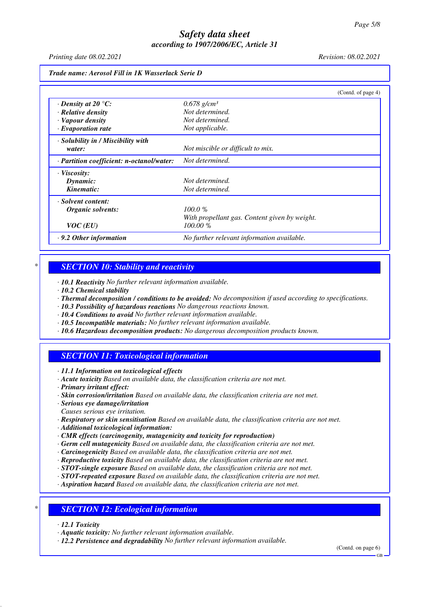*Printing date 08.02.2021 Revision: 08.02.2021*

|                                                 |                                               | (Contd. of page 4) |
|-------------------------------------------------|-----------------------------------------------|--------------------|
| $\cdot$ Density at 20 $\degree$ C:              | $0.678$ g/cm <sup>3</sup>                     |                    |
| $\cdot$ Relative density                        | Not determined.                               |                    |
| · Vapour density                                | Not determined.                               |                    |
| $\cdot$ Evaporation rate                        | Not applicable.                               |                    |
| · Solubility in / Miscibility with              |                                               |                    |
| water:                                          | Not miscible or difficult to mix.             |                    |
| $\cdot$ Partition coefficient: n-octanol/water: | Not determined.                               |                    |
| · Viscosity:                                    |                                               |                    |
| Dynamic:                                        | Not determined.                               |                    |
| Kinematic:                                      | Not determined.                               |                    |
| · Solvent content:                              |                                               |                    |
| Organic solvents:                               | 100.0%                                        |                    |
|                                                 | With propellant gas. Content given by weight. |                    |
| VOC(EU)                                         | 100.00 %                                      |                    |
| $\cdot$ 9.2 Other information                   | No further relevant information available.    |                    |

## *\* SECTION 10: Stability and reactivity*

*· 10.1 Reactivity No further relevant information available.*

- *· 10.2 Chemical stability*
- *· Thermal decomposition / conditions to be avoided: No decomposition if used according to specifications.*
- *· 10.3 Possibility of hazardous reactions No dangerous reactions known.*
- *· 10.4 Conditions to avoid No further relevant information available.*
- *· 10.5 Incompatible materials: No further relevant information available.*
- *· 10.6 Hazardous decomposition products: No dangerous decomposition products known.*

## *SECTION 11: Toxicological information*

*· 11.1 Information on toxicological effects*

- *· Acute toxicity Based on available data, the classification criteria are not met.*
- *· Primary irritant effect:*
- *· Skin corrosion/irritation Based on available data, the classification criteria are not met.*

*· Serious eye damage/irritation*

- *Causes serious eye irritation.*
- *· Respiratory or skin sensitisation Based on available data, the classification criteria are not met.*

*· Additional toxicological information:*

- *· CMR effects (carcinogenity, mutagenicity and toxicity for reproduction)*
- *· Germ cell mutagenicity Based on available data, the classification criteria are not met.*
- *· Carcinogenicity Based on available data, the classification criteria are not met.*
- *· Reproductive toxicity Based on available data, the classification criteria are not met.*
- *· STOT-single exposure Based on available data, the classification criteria are not met.*
- *· STOT-repeated exposure Based on available data, the classification criteria are not met.*
- *· Aspiration hazard Based on available data, the classification criteria are not met.*

# *\* SECTION 12: Ecological information*

- *· 12.1 Toxicity*
- *· Aquatic toxicity: No further relevant information available.*

*· 12.2 Persistence and degradability No further relevant information available.*

(Contd. on page 6)

GB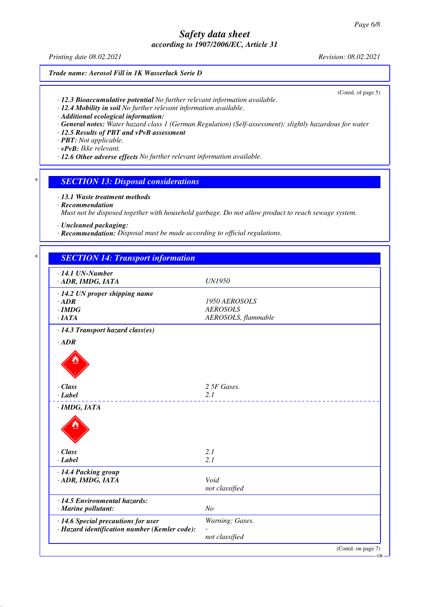*Printing date 08.02.2021 Revision: 08.02.2021*

#### *Trade name: Aerosol Fill in 1K Wasserlack Serie D*

(Contd. of page 5)

*· 12.3 Bioaccumulative potential No further relevant information available.*

*· 12.4 Mobility in soil No further relevant information available.*

*· Additional ecological information:*

- *· General notes: Water hazard class 1 (German Regulation) (Self-assessment): slightly hazardous for water*
- *· 12.5 Results of PBT and vPvB assessment*
- *· PBT: Not applicable.*
- *· vPvB: Ikke relevant.*
- *· 12.6 Other adverse effects No further relevant information available.*

## *\* SECTION 13: Disposal considerations*

- *· 13.1 Waste treatment methods*
- *· Recommendation*

*Must not be disposed together with household garbage. Do not allow product to reach sewage system.*

- *· Uncleaned packaging:*
- *· Recommendation: Disposal must be made according to official regulations.*

| $\cdot$ 14.1 UN-Number                        |                     |
|-----------------------------------------------|---------------------|
| · ADR, IMDG, IATA                             | <b>UN1950</b>       |
| $\cdot$ 14.2 UN proper shipping name          |                     |
| $\cdot$ ADR                                   | 1950 AEROSOLS       |
| $\cdot$ IMDG                                  | <b>AEROSOLS</b>     |
| ·IATA                                         | AEROSOLS, flammable |
| $\cdot$ 14.3 Transport hazard class(es)       |                     |
| $\cdot$ ADR                                   |                     |
|                                               |                     |
|                                               |                     |
|                                               |                     |
|                                               |                     |
| $\cdot$ Class                                 | 2 5F Gases.         |
| $\cdot$ Label                                 | 2.1                 |
| $·$ <i>IMDG, IATA</i>                         |                     |
|                                               |                     |
|                                               |                     |
|                                               |                     |
|                                               |                     |
| · Class                                       | 2.1                 |
| $\cdot$ Label                                 | 2.1                 |
| · 14.4 Packing group                          |                     |
| · ADR, IMDG, IATA                             | Void                |
|                                               | not classified      |
| · 14.5 Environmental hazards:                 |                     |
| · Marine pollutant:                           | N <sub>o</sub>      |
|                                               |                     |
| · 14.6 Special precautions for user           | Warning: Gases.     |
| · Hazard identification number (Kemler code): | not classified      |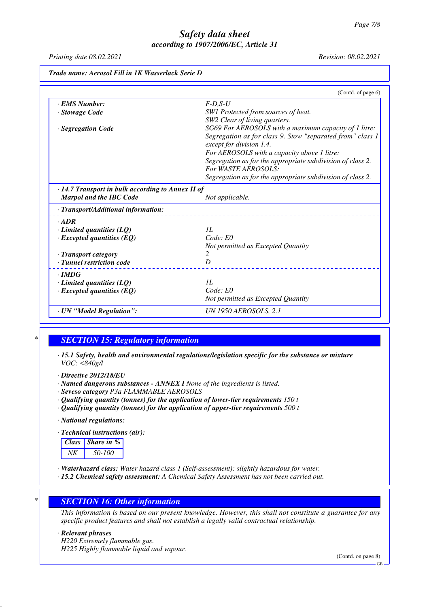*Printing date 08.02.2021 Revision: 08.02.2021*

|                                                                                                                                     | (Contd. of page 6)                                         |
|-------------------------------------------------------------------------------------------------------------------------------------|------------------------------------------------------------|
| · EMS Number:                                                                                                                       | $F-D,S-U$                                                  |
| · Stowage Code                                                                                                                      | SW1 Protected from sources of heat.                        |
|                                                                                                                                     | SW2 Clear of living quarters.                              |
| · Segregation Code                                                                                                                  | SG69 For AEROSOLS with a maximum capacity of 1 litre:      |
|                                                                                                                                     | Segregation as for class 9. Stow "separated from" class 1  |
|                                                                                                                                     | except for division 1.4.                                   |
|                                                                                                                                     | For AEROSOLS with a capacity above 1 litre:                |
|                                                                                                                                     | Segregation as for the appropriate subdivision of class 2. |
|                                                                                                                                     | <b>For WASTE AEROSOLS:</b>                                 |
|                                                                                                                                     | Segregation as for the appropriate subdivision of class 2. |
| $\cdot$ 14.7 Transport in bulk according to Annex II of                                                                             |                                                            |
| <b>Marpol and the IBC Code</b>                                                                                                      | Not applicable.                                            |
| · Transport/Additional information:                                                                                                 |                                                            |
|                                                                                                                                     |                                                            |
|                                                                                                                                     |                                                            |
|                                                                                                                                     | II.                                                        |
|                                                                                                                                     | Code: E0                                                   |
|                                                                                                                                     | Not permitted as Excepted Quantity                         |
|                                                                                                                                     | 2                                                          |
| $.$ ADR<br>$\cdot$ Limited quantities (LQ)<br>$\cdot$ Excepted quantities (EQ)<br>· Transport category<br>· Tunnel restriction code | D                                                          |
| $\cdot$ IMDG                                                                                                                        |                                                            |
| $\cdot$ Limited quantities (LQ)                                                                                                     | II.                                                        |
| $\cdot$ Excepted quantities (EQ)                                                                                                    | Code: E0                                                   |
|                                                                                                                                     | Not permitted as Excepted Quantity                         |

## *\* SECTION 15: Regulatory information*

- *· 15.1 Safety, health and environmental regulations/legislation specific for the substance or mixture VOC: <840g/l*
- *· Directive 2012/18/EU*
- *· Named dangerous substances ANNEX I None of the ingredients is listed.*
- *· Seveso category P3a FLAMMABLE AEROSOLS*
- *· Qualifying quantity (tonnes) for the application of lower-tier requirements 150 t*
- *· Qualifying quantity (tonnes) for the application of upper-tier requirements 500 t*

*· National regulations:*

*· Technical instructions (air):*



- *· Waterhazard class: Water hazard class 1 (Self-assessment): slightly hazardous for water.*
- *· 15.2 Chemical safety assessment: A Chemical Safety Assessment has not been carried out.*

### *\* SECTION 16: Other information*

*This information is based on our present knowledge. However, this shall not constitute a guarantee for any specific product features and shall not establish a legally valid contractual relationship.*

*· Relevant phrases*

*H220 Extremely flammable gas. H225 Highly flammable liquid and vapour.*

(Contd. on page 8)

GB